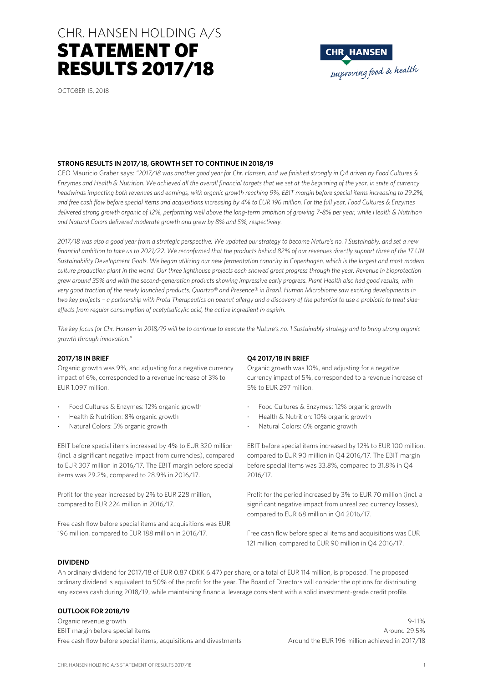## CHR. HANSEN HOLDING A/S CHR. HANSEN HOLDING A/S STATEMENT OF RESULTS 2017/18



## **STRONG RESULTS IN 2017/18, GROWTH SET TO CONTINUE IN 2018/19**

CEO Mauricio Graber says: *"2017/18 was another good year for Chr. Hansen, and we finished strongly in Q4 driven by Food Cultures & Enzymes and Health & Nutrition. We achieved all the overall financial targets that we set at the beginning of the year, in spite of currency headwinds impacting both revenues and earnings, with organic growth reaching 9%, EBIT margin before special items increasing to 29.2%, and free cash flow before special items and acquisitions increasing by 4% to EUR 196 million. For the full year, Food Cultures & Enzymes delivered strong growth organic of 12%, performing well above the long-term ambition of growing 7-8% per year, while Health & Nutrition and Natural Colors delivered moderate growth and grew by 8% and 5%, respectively.* 

*2017/18 was also a good year from a strategic perspective: We updated our strategy to become Nature's no. 1 Sustainably, and set a new financial ambition to take us to 2021/22. We reconfirmed that the products behind 82% of our revenues directly support three of the 17 UN Sustainability Development Goals. We began utilizing our new fermentation capacity in Copenhagen, which is the largest and most modern culture production plant in the world. Our three lighthouse projects each showed great progress through the year. Revenue in bioprotection grew around 35% and with the second-generation products showing impressive early progress. Plant Health also had good results, with very good traction of the newly launched products, Quartzo® and Presence® in Brazil. Human Microbiome saw exciting developments in two key projects – a partnership with Prota Therapeutics on peanut allergy and a discovery of the potential to use a probiotic to treat sideeffects from regular consumption of acetylsalicylic acid, the active ingredient in aspirin.* 

*The key focus for Chr. Hansen in 2018/19 will be to continue to execute the Nature's no. 1 Sustainably strategy and to bring strong organic growth through innovation."* 

### **2017/18 IN BRIEF**

Organic growth was 9%, and adjusting for a negative currency impact of 6%, corresponded to a revenue increase of 3% to EUR 1,097 million.

- Food Cultures & Enzymes: 12% organic growth
- Health & Nutrition: 8% organic growth
- Natural Colors: 5% organic growth

EBIT before special items increased by 4% to EUR 320 million (incl. a significant negative impact from currencies), compared to EUR 307 million in 2016/17. The EBIT margin before special items was 29.2%, compared to 28.9% in 2016/17.

Profit for the year increased by 2% to EUR 228 million, compared to EUR 224 million in 2016/17.

Free cash flow before special items and acquisitions was EUR 196 million, compared to EUR 188 million in 2016/17.

#### **Q4 2017/18 IN BRIEF**

Organic growth was 10%, and adjusting for a negative currency impact of 5%, corresponded to a revenue increase of 5% to EUR 297 million.

**CHR\_HANSEN** 

Improving food & health

- Food Cultures & Enzymes: 12% organic growth
- Health & Nutrition: 10% organic growth
- Natural Colors: 6% organic growth

EBIT before special items increased by 12% to EUR 100 million, compared to EUR 90 million in Q4 2016/17. The EBIT margin before special items was 33.8%, compared to 31.8% in Q4 2016/17.

Profit for the period increased by 3% to EUR 70 million (incl. a significant negative impact from unrealized currency losses), compared to EUR 68 million in Q4 2016/17.

Free cash flow before special items and acquisitions was EUR 121 million, compared to EUR 90 million in Q4 2016/17.

#### **DIVIDEND**

An ordinary dividend for 2017/18 of EUR 0.87 (DKK 6.47) per share, or a total of EUR 114 million, is proposed. The proposed ordinary dividend is equivalent to 50% of the profit for the year. The Board of Directors will consider the options for distributing any excess cash during 2018/19, while maintaining financial leverage consistent with a solid investment-grade credit profile.

#### **OUTLOOK FOR 2018/19**

Organic revenue growth 9-11% EBIT margin before special items Around 29.5% and the set of the set of the set of the set of the set of the set of the set of the set of the set of the set of the set of the set of the set of the set of the set of the set Free cash flow before special items, acquisitions and divestments Around the EUR 196 million achieved in 2017/18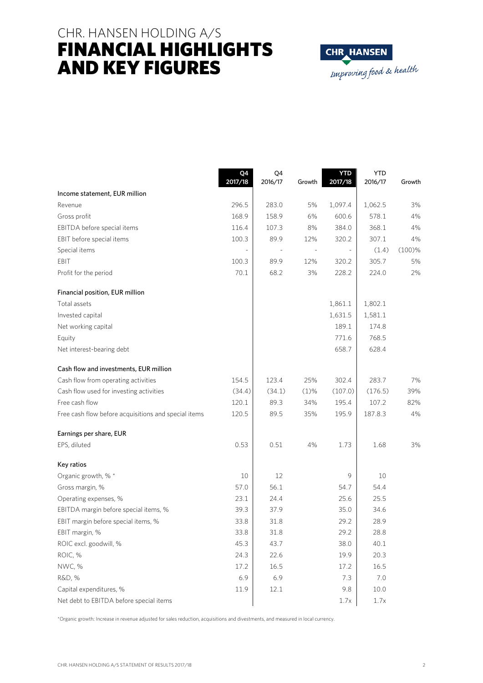## CHR. HANSEN HOLDING A/S FINANCIAL HIGHLIGHTS AND KEY FIGURES



|                                                      | Q4<br>2017/18 | Q4<br>2016/17 | Growth  | <b>YTD</b><br>2017/18 | <b>YTD</b><br>2016/17 | Growth |
|------------------------------------------------------|---------------|---------------|---------|-----------------------|-----------------------|--------|
| Income statement, EUR million                        |               |               |         |                       |                       |        |
| Revenue                                              | 296.5         | 283.0         | 5%      | 1,097.4               | 1,062.5               | 3%     |
| Gross profit                                         | 168.9         | 158.9         | 6%      | 600.6                 | 578.1                 | 4%     |
| EBITDA before special items                          | 116.4         | 107.3         | 8%      | 384.0                 | 368.1                 | 4%     |
| EBIT before special items                            | 100.3         | 89.9          | 12%     | 320.2                 | 307.1                 | 4%     |
| Special items                                        |               |               |         |                       | (1.4)                 | (100)% |
| EBIT                                                 | 100.3         | 89.9          | 12%     | 320.2                 | 305.7                 | 5%     |
| Profit for the period                                | 70.1          | 68.2          | 3%      | 228.2                 | 224.0                 | 2%     |
| Financial position, EUR million                      |               |               |         |                       |                       |        |
| Total assets                                         |               |               |         | 1,861.1               | 1,802.1               |        |
| Invested capital                                     |               |               |         | 1,631.5               | 1,581.1               |        |
| Net working capital                                  |               |               |         | 189.1                 | 174.8                 |        |
| Equity                                               |               |               |         | 771.6                 | 768.5                 |        |
| Net interest-bearing debt                            |               |               |         | 658.7                 | 628.4                 |        |
| Cash flow and investments, EUR million               |               |               |         |                       |                       |        |
| Cash flow from operating activities                  | 154.5         | 123.4         | 25%     | 302.4                 | 283.7                 | 7%     |
| Cash flow used for investing activities              | (34.4)        | (34.1)        | $(1)$ % | (107.0)               | (176.5)               | 39%    |
| Free cash flow                                       | 120.1         | 89.3          | 34%     | 195.4                 | 107.2                 | 82%    |
| Free cash flow before acquisitions and special items | 120.5         | 89.5          | 35%     | 195.9                 | 187.8.3               | 4%     |
| Earnings per share, EUR                              |               |               |         |                       |                       |        |
| EPS, diluted                                         | 0.53          | 0.51          | 4%      | 1.73                  | 1.68                  | 3%     |
| Key ratios                                           |               |               |         |                       |                       |        |
| Organic growth, % *                                  | 10            | 12            |         | 9                     | 10                    |        |
| Gross margin, %                                      | 57.0          | 56.1          |         | 54.7                  | 54.4                  |        |
| Operating expenses, %                                | 23.1          | 24.4          |         | 25.6                  | 25.5                  |        |
| EBITDA margin before special items, %                | 39.3          | 37.9          |         | 35.0                  | 34.6                  |        |
| EBIT margin before special items, %                  | 33.8          | 31.8          |         | 29.2                  | 28.9                  |        |
| EBIT margin, %                                       | 33.8          | 31.8          |         | 29.2                  | 28.8                  |        |
| ROIC excl. goodwill, %                               | 45.3          | 43.7          |         | 38.0                  | 40.1                  |        |
| ROIC, %                                              | 24.3          | 22.6          |         | 19.9                  | 20.3                  |        |
| NWC, %                                               | 17.2          | 16.5          |         | 17.2                  | 16.5                  |        |
| R&D, %                                               | 6.9           | 6.9           |         | 7.3                   | 7.0                   |        |
| Capital expenditures, %                              | 11.9          | 12.1          |         | 9.8                   | 10.0                  |        |
| Net debt to EBITDA before special items              |               |               |         | 1.7x                  | 1.7x                  |        |

\*Organic growth: Increase in revenue adjusted for sales reduction, acquisitions and divestments, and measured in local currency.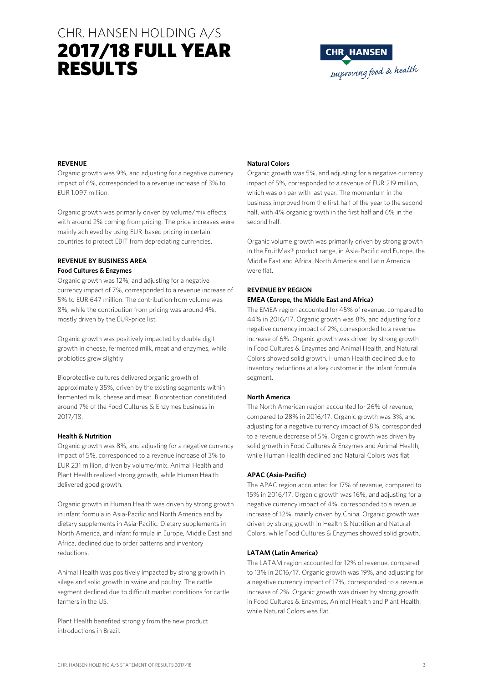# CHR. HANSEN HOLDING A/S 2017/18 FULL YEAR RESULTS



### **REVENUE**

Organic growth was 9%, and adjusting for a negative currency impact of 6%, corresponded to a revenue increase of 3% to EUR 1,097 million.

Organic growth was primarily driven by volume/mix effects, with around 2% coming from pricing. The price increases were mainly achieved by using EUR-based pricing in certain countries to protect EBIT from depreciating currencies.

## **REVENUE BY BUSINESS AREA Food Cultures & Enzymes**

Organic growth was 12%, and adjusting for a negative currency impact of 7%, corresponded to a revenue increase of 5% to EUR 647 million. The contribution from volume was 8%, while the contribution from pricing was around 4%, mostly driven by the EUR-price list.

Organic growth was positively impacted by double digit growth in cheese, fermented milk, meat and enzymes, while probiotics grew slightly.

Bioprotective cultures delivered organic growth of approximately 35%, driven by the existing segments within fermented milk, cheese and meat. Bioprotection constituted around 7% of the Food Cultures & Enzymes business in 2017/18.

#### **Health & Nutrition**

Organic growth was 8%, and adjusting for a negative currency impact of 5%, corresponded to a revenue increase of 3% to EUR 231 million, driven by volume/mix. Animal Health and Plant Health realized strong growth, while Human Health delivered good growth.

Organic growth in Human Health was driven by strong growth in infant formula in Asia-Pacific and North America and by dietary supplements in Asia-Pacific. Dietary supplements in North America, and infant formula in Europe, Middle East and Africa, declined due to order patterns and inventory reductions.

Animal Health was positively impacted by strong growth in silage and solid growth in swine and poultry. The cattle segment declined due to difficult market conditions for cattle farmers in the US.

Plant Health benefited strongly from the new product introductions in Brazil.

## **Natural Colors**

Organic growth was 5%, and adjusting for a negative currency impact of 5%, corresponded to a revenue of EUR 219 million, which was on par with last year. The momentum in the business improved from the first half of the year to the second half, with 4% organic growth in the first half and 6% in the second half.

Organic volume growth was primarily driven by strong growth in the FruitMax® product range, in Asia-Pacific and Europe, the Middle East and Africa. North America and Latin America were flat.

## **REVENUE BY REGION EMEA (Europe, the Middle East and Africa)**

The EMEA region accounted for 45% of revenue, compared to 44% in 2016/17. Organic growth was 8%, and adjusting for a negative currency impact of 2%, corresponded to a revenue increase of 6%. Organic growth was driven by strong growth in Food Cultures & Enzymes and Animal Health, and Natural Colors showed solid growth. Human Health declined due to inventory reductions at a key customer in the infant formula segment.

## **North America**

The North American region accounted for 26% of revenue, compared to 28% in 2016/17. Organic growth was 3%, and adjusting for a negative currency impact of 8%, corresponded to a revenue decrease of 5%. Organic growth was driven by solid growth in Food Cultures & Enzymes and Animal Health, while Human Health declined and Natural Colors was flat.

## **APAC (Asia-Pacific)**

The APAC region accounted for 17% of revenue, compared to 15% in 2016/17. Organic growth was 16%, and adjusting for a negative currency impact of 4%, corresponded to a revenue increase of 12%, mainly driven by China. Organic growth was driven by strong growth in Health & Nutrition and Natural Colors, while Food Cultures & Enzymes showed solid growth.

#### **LATAM (Latin America)**

The LATAM region accounted for 12% of revenue, compared to 13% in 2016/17. Organic growth was 19%, and adjusting for a negative currency impact of 17%, corresponded to a revenue increase of 2%. Organic growth was driven by strong growth in Food Cultures & Enzymes, Animal Health and Plant Health, while Natural Colors was flat.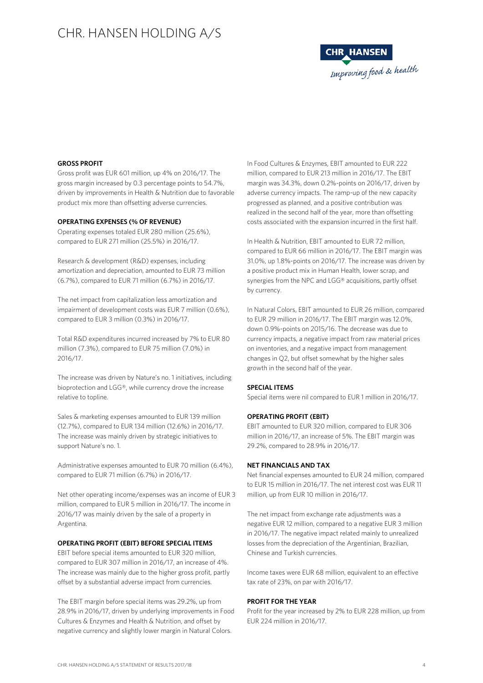

#### **GROSS PROFIT**

Gross profit was EUR 601 million, up 4% on 2016/17. The gross margin increased by 0.3 percentage points to 54.7%, driven by improvements in Health & Nutrition due to favorable product mix more than offsetting adverse currencies.

#### **OPERATING EXPENSES (% OF REVENUE)**

Operating expenses totaled EUR 280 million (25.6%), compared to EUR 271 million (25.5%) in 2016/17.

Research & development (R&D) expenses, including amortization and depreciation, amounted to EUR 73 million (6.7%), compared to EUR 71 million (6.7%) in 2016/17.

The net impact from capitalization less amortization and impairment of development costs was EUR 7 million (0.6%), compared to EUR 3 million (0.3%) in 2016/17.

Total R&D expenditures incurred increased by 7% to EUR 80 million (7.3%), compared to EUR 75 million (7.0%) in 2016/17.

The increase was driven by Nature's no. 1 initiatives, including bioprotection and LGG®, while currency drove the increase relative to topline.

Sales & marketing expenses amounted to EUR 139 million (12.7%), compared to EUR 134 million (12.6%) in 2016/17. The increase was mainly driven by strategic initiatives to support Nature's no. 1.

Administrative expenses amounted to EUR 70 million (6.4%), compared to EUR 71 million (6.7%) in 2016/17.

Net other operating income/expenses was an income of EUR 3 million, compared to EUR 5 million in 2016/17. The income in 2016/17 was mainly driven by the sale of a property in Argentina.

#### **OPERATING PROFIT (EBIT) BEFORE SPECIAL ITEMS**

EBIT before special items amounted to EUR 320 million, compared to EUR 307 million in 2016/17, an increase of 4%. The increase was mainly due to the higher gross profit, partly offset by a substantial adverse impact from currencies.

The EBIT margin before special items was 29.2%, up from 28.9% in 2016/17, driven by underlying improvements in Food Cultures & Enzymes and Health & Nutrition, and offset by negative currency and slightly lower margin in Natural Colors.

In Food Cultures & Enzymes, EBIT amounted to EUR 222 million, compared to EUR 213 million in 2016/17. The EBIT margin was 34.3%, down 0.2%-points on 2016/17, driven by adverse currency impacts. The ramp-up of the new capacity progressed as planned, and a positive contribution was realized in the second half of the year, more than offsetting costs associated with the expansion incurred in the first half.

In Health & Nutrition, EBIT amounted to EUR 72 million, compared to EUR 66 million in 2016/17. The EBIT margin was 31.0%, up 1.8%-points on 2016/17. The increase was driven by a positive product mix in Human Health, lower scrap, and synergies from the NPC and LGG® acquisitions, partly offset by currency.

In Natural Colors, EBIT amounted to EUR 26 million, compared to EUR 29 million in 2016/17. The EBIT margin was 12.0%, down 0.9%-points on 2015/16. The decrease was due to currency impacts, a negative impact from raw material prices on inventories, and a negative impact from management changes in Q2, but offset somewhat by the higher sales growth in the second half of the year.

#### **SPECIAL ITEMS**

Special items were nil compared to EUR 1 million in 2016/17.

#### **OPERATING PROFIT (EBIT)**

EBIT amounted to EUR 320 million, compared to EUR 306 million in 2016/17, an increase of 5%. The EBIT margin was 29.2%, compared to 28.9% in 2016/17.

### **NET FINANCIALS AND TAX**

Net financial expenses amounted to EUR 24 million, compared to EUR 15 million in 2016/17. The net interest cost was EUR 11 million, up from EUR 10 million in 2016/17.

The net impact from exchange rate adjustments was a negative EUR 12 million, compared to a negative EUR 3 million in 2016/17. The negative impact related mainly to unrealized losses from the depreciation of the Argentinian, Brazilian, Chinese and Turkish currencies.

Income taxes were EUR 68 million, equivalent to an effective tax rate of 23%, on par with 2016/17.

## **PROFIT FOR THE YEAR**

Profit for the year increased by 2% to EUR 228 million, up from EUR 224 million in 2016/17.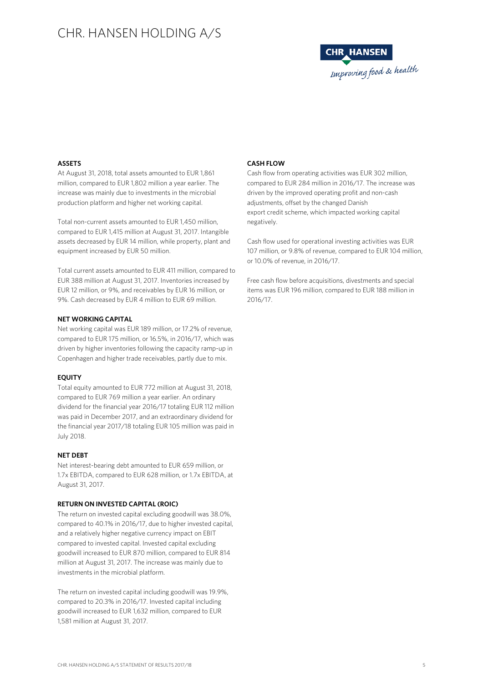

### **ASSETS**

At August 31, 2018, total assets amounted to EUR 1,861 million, compared to EUR 1,802 million a year earlier. The increase was mainly due to investments in the microbial production platform and higher net working capital.

Total non-current assets amounted to EUR 1,450 million, compared to EUR 1,415 million at August 31, 2017. Intangible assets decreased by EUR 14 million, while property, plant and equipment increased by EUR 50 million.

Total current assets amounted to EUR 411 million, compared to EUR 388 million at August 31, 2017. Inventories increased by EUR 12 million, or 9%, and receivables by EUR 16 million, or 9%. Cash decreased by EUR 4 million to EUR 69 million.

### **NET WORKING CAPITAL**

Net working capital was EUR 189 million, or 17.2% of revenue, compared to EUR 175 million, or 16.5%, in 2016/17, which was driven by higher inventories following the capacity ramp-up in Copenhagen and higher trade receivables, partly due to mix.

#### **EQUITY**

Total equity amounted to EUR 772 million at August 31, 2018, compared to EUR 769 million a year earlier. An ordinary dividend for the financial year 2016/17 totaling EUR 112 million was paid in December 2017, and an extraordinary dividend for the financial year 2017/18 totaling EUR 105 million was paid in July 2018.

#### **NET DEBT**

Net interest-bearing debt amounted to EUR 659 million, or 1.7x EBITDA, compared to EUR 628 million, or 1.7x EBITDA, at August 31, 2017.

## **RETURN ON INVESTED CAPITAL (ROIC)**

The return on invested capital excluding goodwill was 38.0%, compared to 40.1% in 2016/17, due to higher invested capital, and a relatively higher negative currency impact on EBIT compared to invested capital. Invested capital excluding goodwill increased to EUR 870 million, compared to EUR 814 million at August 31, 2017. The increase was mainly due to investments in the microbial platform.

The return on invested capital including goodwill was 19.9%, compared to 20.3% in 2016/17. Invested capital including goodwill increased to EUR 1,632 million, compared to EUR 1,581 million at August 31, 2017.

#### **CASH FLOW**

Cash flow from operating activities was EUR 302 million, compared to EUR 284 million in 2016/17. The increase was driven by the improved operating profit and non-cash adjustments, offset by the changed Danish export credit scheme, which impacted working capital negatively.

Cash flow used for operational investing activities was EUR 107 million, or 9.8% of revenue, compared to EUR 104 million, or 10.0% of revenue, in 2016/17.

Free cash flow before acquisitions, divestments and special items was EUR 196 million, compared to EUR 188 million in 2016/17.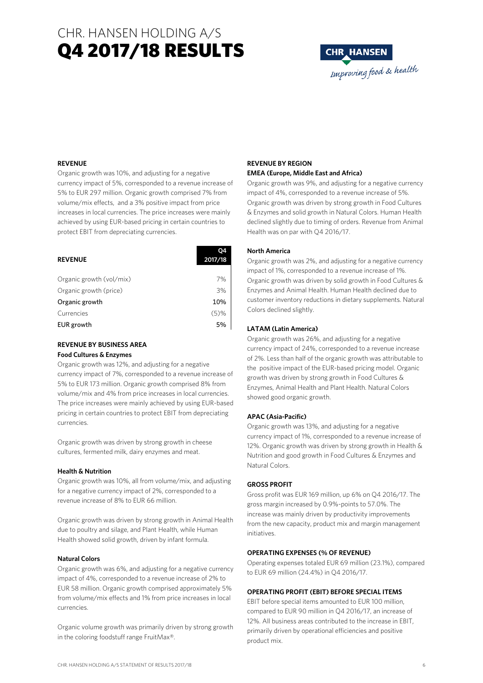# CHR. HANSEN HOLDING A/S Q4 2017/18 RESULTS



## **REVENUE**

Organic growth was 10%, and adjusting for a negative currency impact of 5%, corresponded to a revenue increase of 5% to EUR 297 million. Organic growth comprised 7% from volume/mix effects, and a 3% positive impact from price increases in local currencies. The price increases were mainly achieved by using EUR-based pricing in certain countries to protect EBIT from depreciating currencies.

| <b>REVENUE</b>           | 2017/18 |
|--------------------------|---------|
|                          |         |
| Organic growth (vol/mix) | 7%      |
| Organic growth (price)   | 3%      |
| Organic growth           | 10%     |
| Currencies               | (5)%    |
| EUR growth               | 5%      |

### **REVENUE BY BUSINESS AREA Food Cultures & Enzymes**

Organic growth was 12%, and adjusting for a negative currency impact of 7%, corresponded to a revenue increase of 5% to EUR 173 million. Organic growth comprised 8% from volume/mix and 4% from price increases in local currencies. The price increases were mainly achieved by using EUR-based pricing in certain countries to protect EBIT from depreciating currencies.

Organic growth was driven by strong growth in cheese cultures, fermented milk, dairy enzymes and meat.

#### **Health & Nutrition**

Organic growth was 10%, all from volume/mix, and adjusting for a negative currency impact of 2%, corresponded to a revenue increase of 8% to EUR 66 million.

Organic growth was driven by strong growth in Animal Health due to poultry and silage, and Plant Health, while Human Health showed solid growth, driven by infant formula.

#### **Natural Colors**

Organic growth was 6%, and adjusting for a negative currency impact of 4%, corresponded to a revenue increase of 2% to EUR 58 million. Organic growth comprised approximately 5% from volume/mix effects and 1% from price increases in local currencies.

Organic volume growth was primarily driven by strong growth in the coloring foodstuff range FruitMax®.

### **REVENUE BY REGION EMEA (Europe, Middle East and Africa)**

Organic growth was 9%, and adjusting for a negative currency impact of 4%, corresponded to a revenue increase of 5%. Organic growth was driven by strong growth in Food Cultures & Enzymes and solid growth in Natural Colors. Human Health declined slightly due to timing of orders. Revenue from Animal Health was on par with Q4 2016/17.

#### **North America**

Organic growth was 2%, and adjusting for a negative currency impact of 1%, corresponded to a revenue increase of 1%. Organic growth was driven by solid growth in Food Cultures & Enzymes and Animal Health. Human Health declined due to customer inventory reductions in dietary supplements. Natural Colors declined slightly.

#### **LATAM (Latin America)**

Organic growth was 26%, and adjusting for a negative currency impact of 24%, corresponded to a revenue increase of 2%. Less than half of the organic growth was attributable to the positive impact of the EUR-based pricing model. Organic growth was driven by strong growth in Food Cultures & Enzymes, Animal Health and Plant Health. Natural Colors showed good organic growth.

#### **APAC (Asia-Pacific)**

Organic growth was 13%, and adjusting for a negative currency impact of 1%, corresponded to a revenue increase of 12%. Organic growth was driven by strong growth in Health & Nutrition and good growth in Food Cultures & Enzymes and Natural Colors.

#### **GROSS PROFIT**

Gross profit was EUR 169 million, up 6% on Q4 2016/17. The gross margin increased by 0.9%-points to 57.0%. The increase was mainly driven by productivity improvements from the new capacity, product mix and margin management initiatives.

#### **OPERATING EXPENSES (% OF REVENUE)**

Operating expenses totaled EUR 69 million (23.1%), compared to EUR 69 million (24.4%) in Q4 2016/17.

#### **OPERATING PROFIT (EBIT) BEFORE SPECIAL ITEMS**

EBIT before special items amounted to EUR 100 million, compared to EUR 90 million in Q4 2016/17, an increase of 12%. All business areas contributed to the increase in EBIT, primarily driven by operational efficiencies and positive product mix.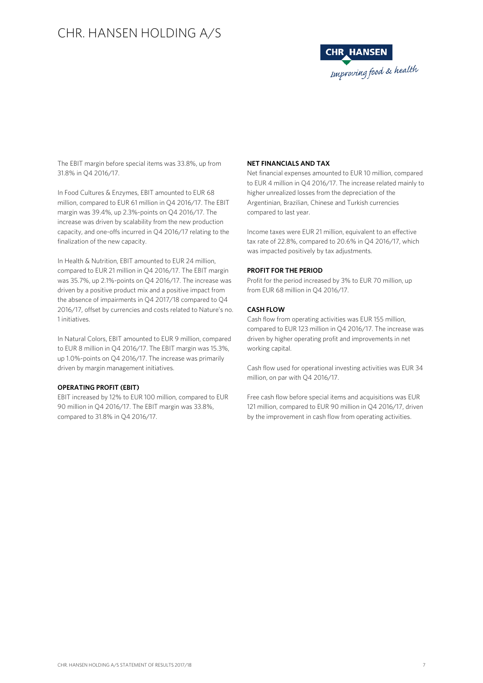

The EBIT margin before special items was 33.8%, up from 31.8% in Q4 2016/17.

In Food Cultures & Enzymes, EBIT amounted to EUR 68 million, compared to EUR 61 million in Q4 2016/17. The EBIT margin was 39.4%, up 2.3%-points on Q4 2016/17. The increase was driven by scalability from the new production capacity, and one-offs incurred in Q4 2016/17 relating to the finalization of the new capacity.

In Health & Nutrition, EBIT amounted to EUR 24 million, compared to EUR 21 million in Q4 2016/17. The EBIT margin was 35.7%, up 2.1%-points on Q4 2016/17. The increase was driven by a positive product mix and a positive impact from the absence of impairments in Q4 2017/18 compared to Q4 2016/17, offset by currencies and costs related to Nature's no. 1 initiatives.

In Natural Colors, EBIT amounted to EUR 9 million, compared to EUR 8 million in Q4 2016/17. The EBIT margin was 15.3%, up 1.0%-points on Q4 2016/17. The increase was primarily driven by margin management initiatives.

#### **OPERATING PROFIT (EBIT)**

EBIT increased by 12% to EUR 100 million, compared to EUR 90 million in Q4 2016/17. The EBIT margin was 33.8%, compared to 31.8% in Q4 2016/17.

#### **NET FINANCIALS AND TAX**

Net financial expenses amounted to EUR 10 million, compared to EUR 4 million in Q4 2016/17. The increase related mainly to higher unrealized losses from the depreciation of the Argentinian, Brazilian, Chinese and Turkish currencies compared to last year.

Income taxes were EUR 21 million, equivalent to an effective tax rate of 22.8%, compared to 20.6% in Q4 2016/17, which was impacted positively by tax adjustments.

#### **PROFIT FOR THE PERIOD**

Profit for the period increased by 3% to EUR 70 million, up from EUR 68 million in Q4 2016/17.

#### **CASH FLOW**

Cash flow from operating activities was EUR 155 million, compared to EUR 123 million in Q4 2016/17. The increase was driven by higher operating profit and improvements in net working capital.

Cash flow used for operational investing activities was EUR 34 million, on par with Q4 2016/17.

Free cash flow before special items and acquisitions was EUR 121 million, compared to EUR 90 million in Q4 2016/17, driven by the improvement in cash flow from operating activities.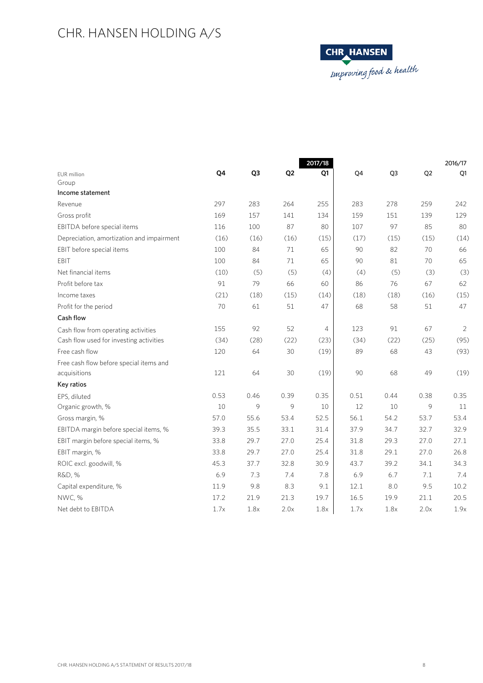

|                                           |      |      |                | 2017/18 |      |                | 2016/17        |      |  |
|-------------------------------------------|------|------|----------------|---------|------|----------------|----------------|------|--|
| <b>EUR</b> million                        | Q4   | Q3   | Q <sub>2</sub> | Q1      | Q4   | Q <sub>3</sub> | Q <sub>2</sub> | Q1   |  |
| Group                                     |      |      |                |         |      |                |                |      |  |
| Income statement                          |      |      |                |         |      |                |                |      |  |
| Revenue                                   | 297  | 283  | 264            | 255     | 283  | 278            | 259            | 242  |  |
| Gross profit                              | 169  | 157  | 141            | 134     | 159  | 151            | 139            | 129  |  |
| EBITDA before special items               | 116  | 100  | 87             | 80      | 107  | 97             | 85             | 80   |  |
| Depreciation, amortization and impairment | (16) | (16) | (16)           | (15)    | (17) | (15)           | (15)           | (14) |  |
| EBIT before special items                 | 100  | 84   | 71             | 65      | 90   | 82             | 70             | 66   |  |
| EBIT                                      | 100  | 84   | 71             | 65      | 90   | 81             | 70             | 65   |  |
| Net financial items                       | (10) | (5)  | (5)            | (4)     | (4)  | (5)            | (3)            | (3)  |  |
| Profit before tax                         | 91   | 79   | 66             | 60      | 86   | 76             | 67             | 62   |  |
| Income taxes                              | (21) | (18) | (15)           | (14)    | (18) | (18)           | (16)           | (15) |  |
| Profit for the period                     | 70   | 61   | 51             | 47      | 68   | 58             | 51             | 47   |  |
| Cash flow                                 |      |      |                |         |      |                |                |      |  |
| Cash flow from operating activities       | 155  | 92   | 52             | 4       | 123  | 91             | 67             | 2    |  |
| Cash flow used for investing activities   | (34) | (28) | (22)           | (23)    | (34) | (22)           | (25)           | (95) |  |
| Free cash flow                            | 120  | 64   | 30             | (19)    | 89   | 68             | 43             | (93) |  |
| Free cash flow before special items and   |      |      |                |         |      |                |                |      |  |
| acquisitions                              | 121  | 64   | 30             | (19)    | 90   | 68             | 49             | (19) |  |
| Key ratios                                |      |      |                |         |      |                |                |      |  |
| EPS, diluted                              | 0.53 | 0.46 | 0.39           | 0.35    | 0.51 | 0.44           | 0.38           | 0.35 |  |
| Organic growth, %                         | 10   | 9    | 9              | 10      | 12   | 10             | 9              | 11   |  |
| Gross margin, %                           | 57.0 | 55.6 | 53.4           | 52.5    | 56.1 | 54.2           | 53.7           | 53.4 |  |
| EBITDA margin before special items, %     | 39.3 | 35.5 | 33.1           | 31.4    | 37.9 | 34.7           | 32.7           | 32.9 |  |
| EBIT margin before special items, %       | 33.8 | 29.7 | 27.0           | 25.4    | 31.8 | 29.3           | 27.0           | 27.1 |  |
| EBIT margin, %                            | 33.8 | 29.7 | 27.0           | 25.4    | 31.8 | 29.1           | 27.0           | 26.8 |  |
| ROIC excl. goodwill, %                    | 45.3 | 37.7 | 32.8           | 30.9    | 43.7 | 39.2           | 34.1           | 34.3 |  |
| R&D, %                                    | 6.9  | 7.3  | 7.4            | 7.8     | 6.9  | 6.7            | 7.1            | 7.4  |  |
| Capital expenditure, %                    | 11.9 | 9.8  | 8.3            | 9.1     | 12.1 | 8.0            | 9.5            | 10.2 |  |
| NWC, %                                    | 17.2 | 21.9 | 21.3           | 19.7    | 16.5 | 19.9           | 21.1           | 20.5 |  |
| Net debt to EBITDA                        | 1.7x | 1.8x | 2.0x           | 1.8x    | 1.7x | 1.8x           | 2.0x           | 1.9x |  |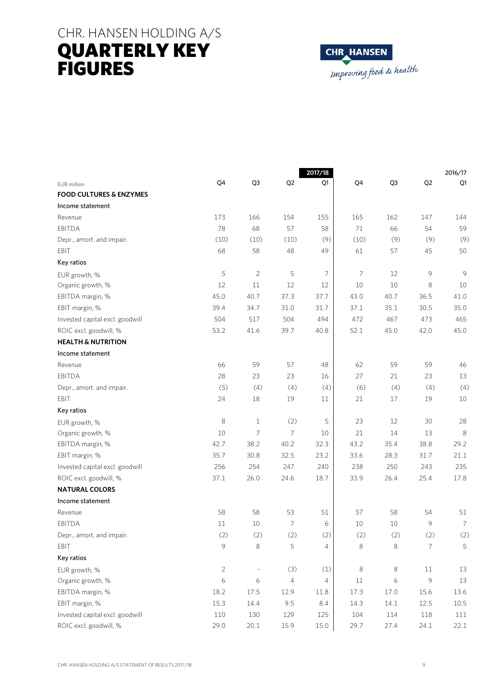# CHR. HANSEN HOLDING A/S QUARTERLY KEY FIGURES



|                                    |            |                |                | 2017/18        | 2016/17 |      |                |      |
|------------------------------------|------------|----------------|----------------|----------------|---------|------|----------------|------|
| EUR million                        | Q4         | Q3             | Q <sub>2</sub> | Q1             | Q4      | Q3   | Q <sub>2</sub> | Q1   |
| <b>FOOD CULTURES &amp; ENZYMES</b> |            |                |                |                |         |      |                |      |
| Income statement                   |            |                |                |                |         |      |                |      |
| Revenue                            | 173        | 166            | 154            | 155            | 165     | 162  | 147            | 144  |
| <b>EBITDA</b>                      | 78         | 68             | 57             | 58             | 71      | 66   | 54             | 59   |
| Depr., amort. and impair.          | (10)       | (10)           | (10)           | (9)            | (10)    | (9)  | (9)            | (9)  |
| EBIT                               | 68         | 58             | 48             | 49             | 61      | 57   | 45             | 50   |
| Key ratios                         |            |                |                |                |         |      |                |      |
| EUR growth, %                      | 5          | $\overline{2}$ | 5              | 7              | 7       | 12   | 9              | 9    |
| Organic growth, %                  | 12         | 11             | 12             | 12             | 10      | 10   | 8              | 10   |
| EBITDA margin, %                   | 45.0       | 40.7           | 37.3           | 37.7           | 43.0    | 40.7 | 36.5           | 41.0 |
| EBIT margin, %                     | 39.4       | 34.7           | 31.0           | 31.7           | 37.1    | 35.1 | 30.5           | 35.0 |
| Invested capital excl. goodwill    | 504        | 517            | 504            | 494            | 472     | 467  | 473            | 465  |
| ROIC excl. goodwill, %             | 53.2       | 41.6           | 39.7           | 40.8           | 52.1    | 45.0 | 42.0           | 45.0 |
| <b>HEALTH &amp; NUTRITION</b>      |            |                |                |                |         |      |                |      |
| Income statement                   |            |                |                |                |         |      |                |      |
| Revenue                            | 66         | 59             | 57             | 48             | 62      | 59   | 59             | 46   |
| <b>EBITDA</b>                      | 28         | 23             | 23             | 16             | 27      | 21   | 23             | 13   |
| Depr., amort. and impair.          | (5)        | (4)            | (4)            | (4)            | (6)     | (4)  | (4)            | (4)  |
| EBIT                               | 24         | 18             | 19             | 11             | 21      | 17   | 19             | 10   |
| Key ratios                         |            |                |                |                |         |      |                |      |
| EUR growth, %                      | 8          | $\mathbf{1}$   | (2)            | 5              | 23      | 12   | 30             | 28   |
| Organic growth, %                  | 10         | 7              | 7              | 10             | 21      | 14   | 13             | 8    |
| EBITDA margin, %                   | 42.7       | 38.2           | 40.2           | 32.3           | 43.2    | 35.4 | 38.8           | 29.2 |
| EBIT margin, %                     | 35.7       | 30.8           | 32.5           | 23.2           | 33.6    | 28.3 | 31.7           | 21.1 |
| Invested capital excl. goodwill    | 256        | 254            | 247            | 240            | 238     | 250  | 243            | 235  |
| ROIC excl. goodwill, %             | 37.1       | 26.0           | 24.6           | 18.7           | 33.9    | 26.4 | 25.4           | 17.8 |
| <b>NATURAL COLORS</b>              |            |                |                |                |         |      |                |      |
| Income statement                   |            |                |                |                |         |      |                |      |
| Revenue                            | 58         | 58             | 53             | 51             | 57      | 58   | 54             | 51   |
| EBITDA                             | 11         | 10             | 7              | 6              | 10      | 10   | 9              | 7    |
| Depr., amort. and impair.          | (2)        | (2)            | (2)            | (2)            | (2)     | (2)  | (2)            | (2)  |
| EBIT                               | 9          | 8              | 5              | 4              | 8       | 8    | 7              | 5    |
| Key ratios                         |            |                |                |                |         |      |                |      |
| EUR growth, %                      | $\sqrt{2}$ |                | (3)            | (1)            | 8       | 8    | 11             | 13   |
| Organic growth, %                  | $\epsilon$ | $\epsilon$     | $\overline{4}$ | $\overline{4}$ | 11      | 6    | 9              | 13   |
| EBITDA margin, %                   | 18.2       | 17.5           | 12.9           | 11.8           | 17.3    | 17.0 | 15.6           | 13.6 |
| EBIT margin, %                     | 15.3       | 14.4           | 9.5            | 8.4            | 14.3    | 14.1 | 12.5           | 10.5 |
| Invested capital excl. goodwill    | $110\,$    | 130            | 129            | 125            | 104     | 114  | 118            | 111  |
| ROIC excl. goodwill, %             | 29.0       | 20.1           | 15.9           | 15.0           | 29.7    | 27.4 | 24.1           | 22.1 |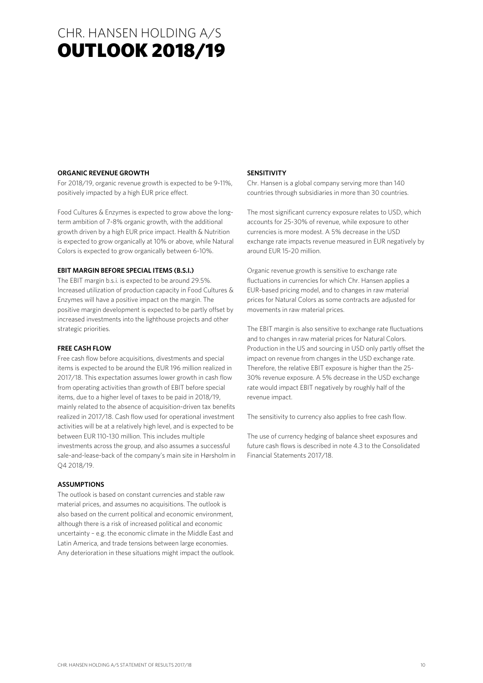# CHR. HANSEN HOLDING A/S OUTLOOK 2018/19

### **ORGANIC REVENUE GROWTH**

For 2018/19, organic revenue growth is expected to be 9-11%, positively impacted by a high EUR price effect.

Food Cultures & Enzymes is expected to grow above the longterm ambition of 7-8% organic growth, with the additional growth driven by a high EUR price impact. Health & Nutrition is expected to grow organically at 10% or above, while Natural Colors is expected to grow organically between 6-10%.

#### **EBIT MARGIN BEFORE SPECIAL ITEMS (B.S.I.)**

The EBIT margin b.s.i. is expected to be around 29.5%. Increased utilization of production capacity in Food Cultures & Enzymes will have a positive impact on the margin. The positive margin development is expected to be partly offset by increased investments into the lighthouse projects and other strategic priorities.

#### **FREE CASH FLOW**

Free cash flow before acquisitions, divestments and special items is expected to be around the EUR 196 million realized in 2017/18. This expectation assumes lower growth in cash flow from operating activities than growth of EBIT before special items, due to a higher level of taxes to be paid in 2018/19, mainly related to the absence of acquisition-driven tax benefits realized in 2017/18. Cash flow used for operational investment activities will be at a relatively high level, and is expected to be between EUR 110-130 million. This includes multiple investments across the group, and also assumes a successful sale-and-lease-back of the company's main site in Hørsholm in Q4 2018/19.

## **ASSUMPTIONS**

The outlook is based on constant currencies and stable raw material prices, and assumes no acquisitions. The outlook is also based on the current political and economic environment, although there is a risk of increased political and economic uncertainty – e.g. the economic climate in the Middle East and Latin America, and trade tensions between large economies. Any deterioration in these situations might impact the outlook.

### **SENSITIVITY**

Chr. Hansen is a global company serving more than 140 countries through subsidiaries in more than 30 countries.

The most significant currency exposure relates to USD, which accounts for 25-30% of revenue, while exposure to other currencies is more modest. A 5% decrease in the USD exchange rate impacts revenue measured in EUR negatively by around EUR 15-20 million.

Organic revenue growth is sensitive to exchange rate fluctuations in currencies for which Chr. Hansen applies a EUR-based pricing model, and to changes in raw material prices for Natural Colors as some contracts are adjusted for movements in raw material prices.

The EBIT margin is also sensitive to exchange rate fluctuations and to changes in raw material prices for Natural Colors. Production in the US and sourcing in USD only partly offset the impact on revenue from changes in the USD exchange rate. Therefore, the relative EBIT exposure is higher than the 25- 30% revenue exposure. A 5% decrease in the USD exchange rate would impact EBIT negatively by roughly half of the revenue impact.

The sensitivity to currency also applies to free cash flow.

The use of currency hedging of balance sheet exposures and future cash flows is described in note 4.3 to the Consolidated Financial Statements 2017/18.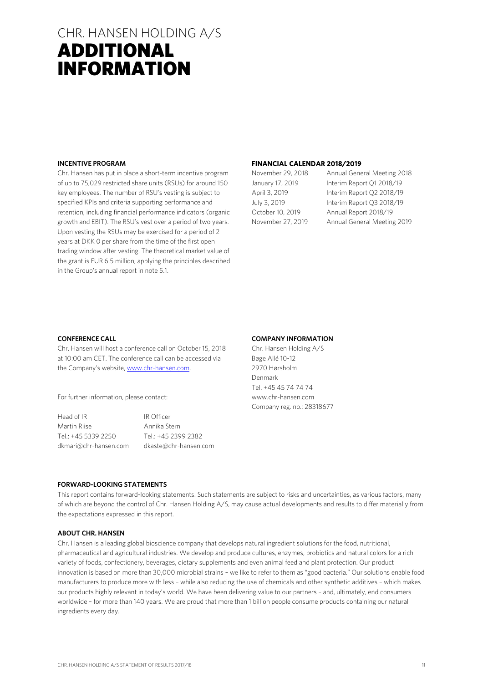# CHR. HANSEN HOLDING A/S CHR. HANSEN HOLDING A/S ADDITIONAL INFORMATION

#### **INCENTIVE PROGRAM**

Chr. Hansen has put in place a short-term incentive program of up to 75,029 restricted share units (RSUs) for around 150 key employees. The number of RSU's vesting is subject to specified KPIs and criteria supporting performance and retention, including financial performance indicators (organic growth and EBIT). The RSU's vest over a period of two years. Upon vesting the RSUs may be exercised for a period of 2 years at DKK 0 per share from the time of the first open trading window after vesting. The theoretical market value of the grant is EUR 6.5 million, applying the principles described in the Group's annual report in note 5.1.

### **FINANCIAL CALENDAR 2018/2019**

November 29, 2018 Annual General Meeting 2018 January 17, 2019 Interim Report Q1 2018/19 April 3, 2019 Interim Report Q2 2018/19 July 3, 2019 Interim Report Q3 2018/19 October 10, 2019 Annual Report 2018/19 November 27, 2019 Annual General Meeting 2019

#### **CONFERENCE CALL**

Chr. Hansen will host a conference call on October 15, 2018 at 10:00 am CET. The conference call can be accessed via the Company's website, www.chr-hansen.com.

For further information, please contact:

Head of IR **IR Officer** Martin Riise **Annika Stern** Tel.: +45 5339 2250 Tel.: +45 2399 2382 dkmari@chr-hansen.com dkaste@chr-hansen.com

#### **COMPANY INFORMATION**

Chr. Hansen Holding A/S Bøge Allé 10-12 2970 Hørsholm Denmark Tel. +45 45 74 74 74 www.chr-hansen.com Company reg. no.: 28318677

#### **FORWARD-LOOKING STATEMENTS**

This report contains forward-looking statements. Such statements are subject to risks and uncertainties, as various factors, many of which are beyond the control of Chr. Hansen Holding A/S, may cause actual developments and results to differ materially from the expectations expressed in this report.

#### **ABOUT CHR. HANSEN**

Chr. Hansen is a leading global bioscience company that develops natural ingredient solutions for the food, nutritional, pharmaceutical and agricultural industries. We develop and produce cultures, enzymes, probiotics and natural colors for a rich variety of foods, confectionery, beverages, dietary supplements and even animal feed and plant protection. Our product innovation is based on more than 30,000 microbial strains – we like to refer to them as "good bacteria." Our solutions enable food manufacturers to produce more with less – while also reducing the use of chemicals and other synthetic additives – which makes our products highly relevant in today's world. We have been delivering value to our partners – and, ultimately, end consumers worldwide – for more than 140 years. We are proud that more than 1 billion people consume products containing our natural ingredients every day.